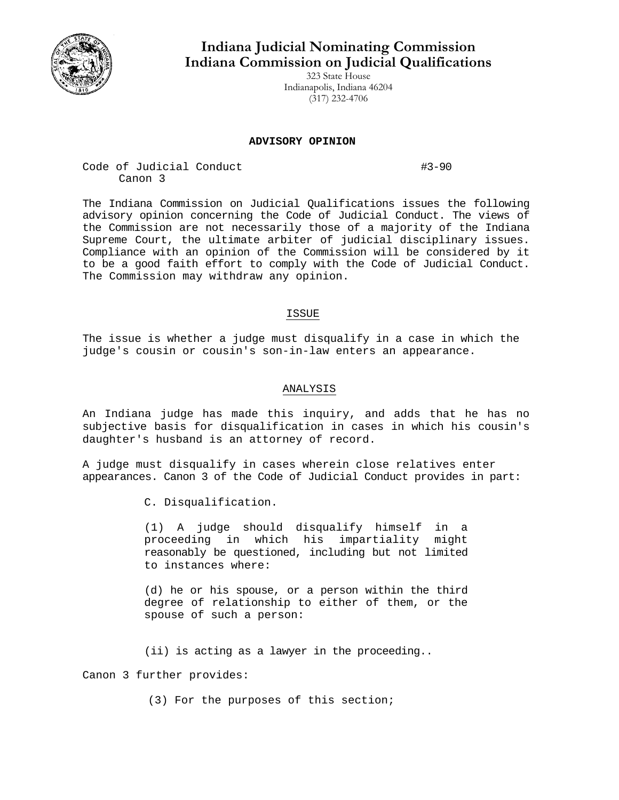

# **Indiana Judicial Nominating Commission Indiana Commission on Judicial Qualifications**

323 State House Indianapolis, Indiana 46204 (317) 232-4706

### **ADVISORY OPINION**

Code of Judicial Conduct #3-90 Canon 3

The Indiana Commission on Judicial Qualifications issues the following advisory opinion concerning the Code of Judicial Conduct. The views of the Commission are not necessarily those of a majority of the Indiana Supreme Court, the ultimate arbiter of judicial disciplinary issues. Compliance with an opinion of the Commission will be considered by it to be a good faith effort to comply with the Code of Judicial Conduct. The Commission may withdraw any opinion.

## ISSUE

The issue is whether a judge must disqualify in a case in which the judge's cousin or cousin's son-in-law enters an appearance.

## ANALYSIS

An Indiana judge has made this inquiry, and adds that he has no subjective basis for disqualification in cases in which his cousin's daughter's husband is an attorney of record.

A judge must disqualify in cases wherein close relatives enter appearances. Canon 3 of the Code of Judicial Conduct provides in part:

C. Disqualification.

(1) A judge should disqualify himself in a proceeding in which his impartiality might reasonably be questioned, including but not limited to instances where:

(d) he or his spouse, or a person within the third degree of relationship to either of them, or the spouse of such a person:

(ii) is acting as a lawyer in the proceeding..

Canon 3 further provides:

(3) For the purposes of this section;